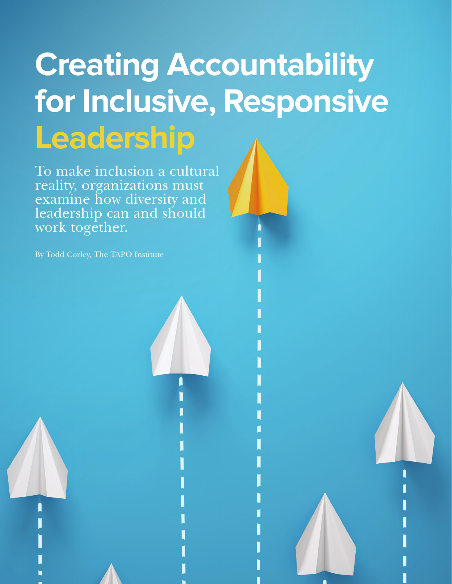# **Creating Accountability for Inclusive, Responsive Leadership**

To make inclusion a cultural reality, organizations must examine how diversity and leadership can and should work together.

By Todd Corley, The TAPO Institute

**28** PEOPLE ++ STRATEGY STRATEGY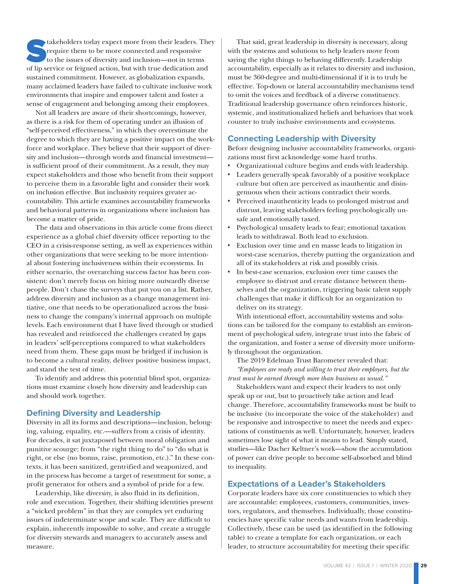takeholders today expect more from their leaders. They<br>require them to be more connected and responsive<br>to the issues of diversity and inclusion—not in terms<br>of lin service or feigned action, but with true dedication and require them to be more connected and responsive to the issues of diversity and inclusion—not in terms of lip service or feigned action, but with true dedication and sustained commitment. However, as globalization expands, many acclaimed leaders have failed to cultivate inclusive work environments that inspire and empower talent and foster a sense of engagement and belonging among their employees.

Not all leaders are aware of their shortcomings, however, as there is a risk for them of operating under an illusion of "self-perceived effectiveness," in which they overestimate the degree to which they are having a positive impact on the workforce and workplace. They believe that their support of diversity and inclusion—through words and financial investment is sufficient proof of their commitment. As a result, they may expect stakeholders and those who benefit from their support to perceive them in a favorable light and consider their work on inclusion effective. But inclusivity requires greater accountability. This article examines accountability frameworks and behavioral patterns in organizations where inclusion has become a matter of pride.

The data and observations in this article come from direct experience as a global chief diversity officer reporting to the CEO in a crisis-response setting, as well as experiences within other organizations that were seeking to be more intentional about fostering inclusiveness within their ecosystems. In either scenario, the overarching success factor has been consistent: don't merely focus on hiring more outwardly diverse people. Don't chase the surveys that put you on a list. Rather, address diversity and inclusion as a change management initiative, one that needs to be operationalized across the business to change the company's internal approach on multiple levels. Each environment that I have lived through or studied has revealed and reinforced the challenges created by gaps in leaders' self-perceptions compared to what stakeholders need from them. These gaps must be bridged if inclusion is to become a cultural reality, deliver positive business impact, and stand the test of time.

To identify and address this potential blind spot, organizations must examine closely how diversity and leadership can and should work together.

# **Defining Diversity and Leadership**

Diversity in all its forms and descriptions—inclusion, belonging, valuing, equality, etc.—suffers from a crisis of identity. For decades, it sat juxtaposed between moral obligation and punitive scourge; from "the right thing to do" to "do what is right, or else (no bonus, raise, promotion, etc.)." In these contexts, it has been sanitized, gentrified and weaponized, and in the process has become a target of resentment for some, a profit generator for others and a symbol of pride for a few.

Leadership, like diversity, is also fluid in its definition, role and execution. Together, their shifting identities present a "wicked problem" in that they are complex yet enduring issues of indeterminate scope and scale. They are difficult to explain, inherently impossible to solve, and create a struggle for diversity stewards and managers to accurately assess and measure.

That said, great leadership in diversity is necessary, along with the systems and solutions to help leaders move from saying the right things to behaving differently. Leadership accountability, especially as it relates to diversity and inclusion, must be 360-degree and multi-dimensional if it is to truly be effective. Top-down or lateral accountability mechanisms tend to omit the voices and feedback of a diverse constituency. Traditional leadership governance often reinforces historic, systemic, and institutionalized beliefs and behaviors that work counter to truly inclusive environments and ecosystems.

# **Connecting Leadership with Diversity**

Before designing inclusive accountability frameworks, organizations must first acknowledge some hard truths.

- Organizational culture begins and ends with leadership.
- Leaders generally speak favorably of a positive workplace culture but often are perceived as inauthentic and disingenuous when their actions contradict their words.
- Perceived inauthenticity leads to prolonged mistrust and distrust, leaving stakeholders feeling psychologically unsafe and emotionally taxed.
- Psychological unsafety leads to fear; emotional taxation leads to withdrawal. Both lead to exclusion.
- Exclusion over time and en masse leads to litigation in worst-case scenarios, thereby putting the organization and all of its stakeholders at risk and possibly crisis.
- In best-case scenarios, exclusion over time causes the employee to distrust and create distance between themselves and the organization, triggering basic talent supply challenges that make it difficult for an organization to deliver on its strategy.

With intentional effort, accountability systems and solutions can be tailored for the company to establish an environment of psychological safety, integrate trust into the fabric of the organization, and foster a sense of diversity more uniformly throughout the organization.

The 2019 Edelman Trust Barometer revealed that: *"Employees are ready and willing to trust their employers, but the trust must be earned through more than business as usual."* 

Stakeholders want and expect their leaders to not only speak up or out, but to proactively take action and lead change. Therefore, accountability frameworks must be built to be inclusive (to incorporate the voice of the stakeholder) and be responsive and introspective to meet the needs and expectations of constituents as well. Unfortunately, however, leaders sometimes lose sight of what it means to lead. Simply stated, studies—like Dacher Keltner's work—show the accumulation of power can drive people to become self-absorbed and blind to inequality.

# **Expectations of a Leader's Stakeholders**

Corporate leaders have six core constituencies to which they are accountable: employees, customers, communities, investors, regulators, and themselves. Individually, those constituencies have specific value needs and wants from leadership. Collectively, these can be used (as identified in the following table) to create a template for each organization, or each leader, to structure accountability for meeting their specific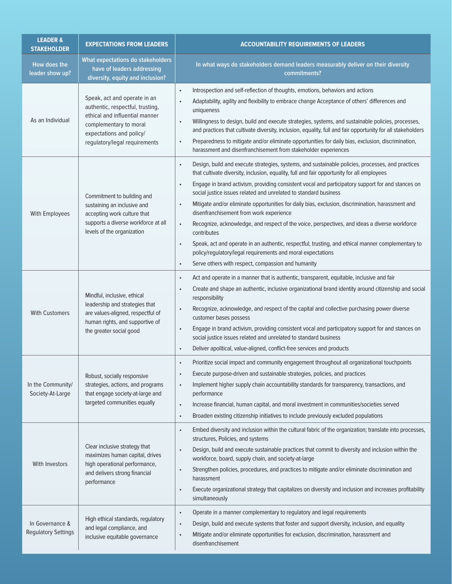| <b>LEADER &amp;</b><br><b>STAKEHOLDER</b>     | <b>EXPECTATIONS FROM LEADERS</b>                                                                                                                                                          | <b>ACCOUNTABILITY REQUIREMENTS OF LEADERS</b>                                                                                                                                                                                                                                                                                                                                                                                                                                                                                                                                                                                                                                                                                                                                                                                                                                                                                                    |
|-----------------------------------------------|-------------------------------------------------------------------------------------------------------------------------------------------------------------------------------------------|--------------------------------------------------------------------------------------------------------------------------------------------------------------------------------------------------------------------------------------------------------------------------------------------------------------------------------------------------------------------------------------------------------------------------------------------------------------------------------------------------------------------------------------------------------------------------------------------------------------------------------------------------------------------------------------------------------------------------------------------------------------------------------------------------------------------------------------------------------------------------------------------------------------------------------------------------|
| How does the<br>leader show up?               | What expectations do stakeholders<br>have of leaders addressing<br>diversity, equity and inclusion?                                                                                       | In what ways do stakeholders demand leaders measurably deliver on their diversity<br>commitments?                                                                                                                                                                                                                                                                                                                                                                                                                                                                                                                                                                                                                                                                                                                                                                                                                                                |
| As an Individual                              | Speak, act and operate in an<br>authentic, respectful, trusting,<br>ethical and influential manner<br>complementary to moral<br>expectations and policy/<br>regulatory/legal requirements | Introspection and self-reflection of thoughts, emotions, behaviors and actions<br>$\bullet$<br>Adaptability, agility and flexibility to embrace change Acceptance of others' differences and<br>$\bullet$<br>uniqueness<br>Willingness to design, build and execute strategies, systems, and sustainable policies, processes,<br>$\bullet$<br>and practices that cultivate diversity, inclusion, equality, full and fair opportunity for all stakeholders<br>Preparedness to mitigate and/or eliminate opportunities for daily bias, exclusion, discrimination,<br>$\bullet$<br>harassment and disenfranchisement from stakeholder experiences                                                                                                                                                                                                                                                                                                   |
| With Employees                                | Commitment to building and<br>sustaining an inclusive and<br>accepting work culture that<br>supports a diverse workforce at all<br>levels of the organization                             | Design, build and execute strategies, systems, and sustainable policies, processes, and practices<br>$\bullet$<br>that cultivate diversity, inclusion, equality, full and fair opportunity for all employees<br>Engage in brand activism, providing consistent vocal and participatory support for and stances on<br>$\bullet$<br>social justice issues related and unrelated to standard business<br>Mitigate and/or eliminate opportunities for daily bias, exclusion, discrimination, harassment and<br>$\bullet$<br>disenfranchisement from work experience<br>Recognize, acknowledge, and respect of the voice, perspectives, and ideas a diverse workforce<br>$\bullet$<br>contributes<br>Speak, act and operate in an authentic, respectful, trusting, and ethical manner complementary to<br>$\bullet$<br>policy/regulatory/legal requirements and moral expectations<br>Serve others with respect, compassion and humanity<br>$\bullet$ |
| <b>With Customers</b>                         | Mindful, inclusive, ethical<br>leadership and strategies that<br>are values-aligned, respectful of<br>human rights, and supportive of<br>the greater social good                          | Act and operate in a manner that is authentic, transparent, equitable, inclusive and fair<br>$\bullet$<br>Create and shape an authentic, inclusive organizational brand identity around citizenship and social<br>$\bullet$<br>responsibility<br>Recognize, acknowledge, and respect of the capital and collective purchasing power diverse<br>$\bullet$<br>customer bases possess<br>Engage in brand activism, providing consistent vocal and participatory support for and stances on<br>$\bullet$<br>social justice issues related and unrelated to standard business<br>Deliver apolitical, value-aligned, conflict-free services and products<br>$\bullet$                                                                                                                                                                                                                                                                                  |
| In the Community/<br>Society-At-Large         | Robust, socially responsive<br>strategies, actions, and programs<br>that engage society-at-large and<br>targeted communities equally                                                      | Prioritize social impact and community engagement throughout all organizational touchpoints<br>$\bullet$<br>Execute purpose-driven and sustainable strategies, policies, and practices<br>$\bullet$<br>Implement higher supply chain accountability standards for transparency, transactions, and<br>$\bullet$<br>performance<br>Increase financial, human capital, and moral investment in communities/societies served<br>$\bullet$<br>Broaden existing citizenship initiatives to include previously excluded populations<br>$\bullet$                                                                                                                                                                                                                                                                                                                                                                                                        |
| With Investors                                | Clear inclusive strategy that<br>maximizes human capital, drives<br>high operational performance,<br>and delivers strong financial<br>performance                                         | Embed diversity and inclusion within the cultural fabric of the organization; translate into processes,<br>$\bullet$<br>structures, Policies, and systems<br>Design, build and execute sustainable practices that commit to diversity and inclusion within the<br>$\bullet$<br>workforce, board, supply chain, and society-at-large<br>Strengthen policies, procedures, and practices to mitigate and/or eliminate discrimination and<br>$\bullet$<br>harassment<br>Execute organizational strategy that capitalizes on diversity and inclusion and increases profitability<br>$\bullet$<br>simultaneously                                                                                                                                                                                                                                                                                                                                       |
| In Governance &<br><b>Regulatory Settings</b> | High ethical standards, regulatory<br>and legal compliance, and<br>inclusive equitable governance                                                                                         | Operate in a manner complementary to regulatory and legal requirements<br>$\bullet$<br>Design, build and execute systems that foster and support diversity, inclusion, and equality<br>$\bullet$<br>Mitigate and/or eliminate opportunities for exclusion, discrimination, harassment and<br>$\bullet$<br>disenfranchisement                                                                                                                                                                                                                                                                                                                                                                                                                                                                                                                                                                                                                     |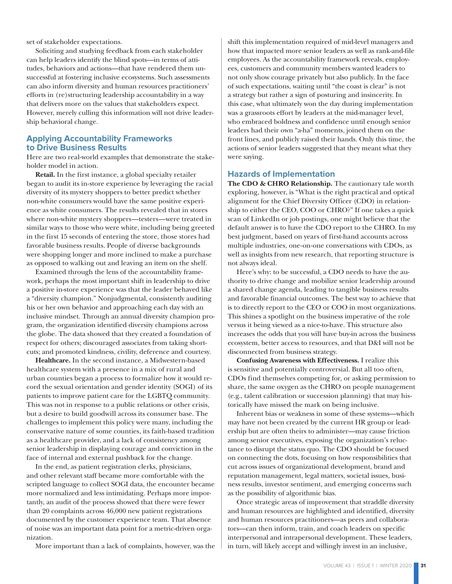set of stakeholder expectations.

Soliciting and studying feedback from each stakeholder can help leaders identify the blind spots—in terms of attitudes, behaviors and actions—that have rendered them unsuccessful at fostering inclusive ecosystems. Such assessments can also inform diversity and human resources practitioners' efforts in (re)structuring leadership accountability in a way that delivers more on the values that stakeholders expect. However, merely culling this information will not drive leadership behavioral change.

# **Applying Accountability Frameworks to Drive Business Results**

Here are two real-world examples that demonstrate the stakeholder model in action.

**Retail.** In the first instance, a global specialty retailer began to audit its in-store experience by leveraging the racial diversity of its mystery shoppers to better predict whether non-white consumers would have the same positive experience as white consumers. The results revealed that in stores where non-white mystery shoppers—testers—were treated in similar ways to those who were white, including being greeted in the first 15 seconds of entering the store, those stores had favorable business results. People of diverse backgrounds were shopping longer and more inclined to make a purchase as opposed to walking out and leaving an item on the shelf.

Examined through the lens of the accountability framework, perhaps the most important shift in leadership to drive a positive in-store experience was that the leader behaved like a "diversity champion." Nonjudgmental, consistently auditing his or her own behavior and approaching each day with an inclusive mindset. Through an annual diversity champion program, the organization identified diversity champions across the globe. The data showed that they created a foundation of respect for others; discouraged associates from taking shortcuts; and promoted kindness, civility, deference and courtesy.

**Healthcare.** In the second instance, a Midwestern-based healthcare system with a presence in a mix of rural and urban counties began a process to formalize how it would record the sexual orientation and gender identity (SOGI) of its patients to improve patient care for the LGBTQ community. This was not in response to a public relations or other crisis, but a desire to build goodwill across its consumer base. The challenges to implement this policy were many, including the conservative nature of some counties, its faith-based tradition as a healthcare provider, and a lack of consistency among senior leadership in displaying courage and conviction in the face of internal and external pushback for the change.

In the end, as patient registration clerks, physicians, and other relevant staff became more comfortable with the scripted language to collect SOGI data, the encounter became more normalized and less intimidating. Perhaps more importantly, an audit of the process showed that there were fewer than 20 complaints across 46,000 new patient registrations documented by the customer experience team. That absence of noise was an important data point for a metric-driven organization.

More important than a lack of complaints, however, was the

shift this implementation required of mid-level managers and how that impacted more senior leaders as well as rank-and-file employees. As the accountability framework reveals, employees, customers and community members wanted leaders to not only show courage privately but also publicly. In the face of such expectations, waiting until "the coast is clear" is not a strategy but rather a sign of posturing and insincerity. In this case, what ultimately won the day during implementation was a grassroots effort by leaders at the mid-manager level, who embraced boldness and confidence until enough senior leaders had their own "a-ha" moments, joined them on the front lines, and publicly raised their hands. Only this time, the actions of senior leaders suggested that they meant what they were saying.

### **Hazards of Implementation**

The CDO & CHRO Relationship. The cautionary tale worth exploring, however, is "What is the right practical and optical alignment for the Chief Diversity Officer (CDO) in relationship to either the CEO, COO or CHRO?" If one takes a quick scan of LinkedIn or job postings, one might believe that the default answer is to have the CDO report to the CHRO. In my best judgment, based on years of first-hand accounts across multiple industries, one-on-one conversations with CDOs, as well as insights from new research, that reporting structure is not always ideal.

Here's why: to be successful, a CDO needs to have the authority to drive change and mobilize senior leadership around a shared change agenda, leading to tangible business results and favorable financial outcomes. The best way to achieve that is to directly report to the CEO or COO in most organizations. This shines a spotlight on the business imperative of the role versus it being viewed as a nice-to-have. This structure also increases the odds that you will have buy-in across the business ecosystem, better access to resources, and that D&I will not be disconnected from business strategy.

**Confusing Awareness with Effectiveness.** I realize this is sensitive and potentially controversial. But all too often, CDOs find themselves competing for, or asking permission to share, the same oxygen as the CHRO on people management (e.g., talent calibration or succession planning) that may historically have missed the mark on being inclusive.

Inherent bias or weakness in some of these systems—which may have not been created by the current HR group or leadership but are often theirs to administer—may cause friction among senior executives, exposing the organization's reluctance to disrupt the status quo. The CDO should be focused on connecting the dots, focusing on how responsibilities that cut across issues of organizational development, brand and reputation management, legal matters, societal issues, business results, investor sentiment, and emerging concerns such as the possibility of algorithmic bias.

Once strategic areas of improvement that straddle diversity and human resources are highlighted and identified, diversity and human resources practitioners—as peers and collaborators—can then inform, train, and coach leaders on specific interpersonal and intrapersonal development. These leaders, in turn, will likely accept and willingly invest in an inclusive,